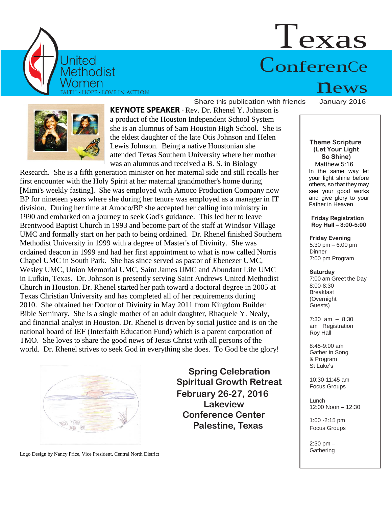

# Texas ConferenCe

**KEYNOTE SPEAKER** - Rev. Dr. Rhenel Y. Johnson is a product of the Houston Independent School System she is an alumnus of Sam Houston High School. She is the eldest daughter of the late Otis Johnson and Helen Lewis Johnson. Being a native Houstonian she attended Texas Southern University where her mother was an alumnus and received a B. S. in Biology

Share this publication with friends

Research. She is a fifth generation minister on her maternal side and still recalls her first encounter with the Holy Spirit at her maternal grandmother's home during [Mimi's weekly fasting]. She was employed with Amoco Production Company now BP for nineteen years where she during her tenure was employed as a manager in IT division. During her time at Amoco/BP she accepted her calling into ministry in 1990 and embarked on a journey to seek God's guidance. This led her to leave Brentwood Baptist Church in 1993 and become part of the staff at Windsor Village UMC and formally start on her path to being ordained. Dr. Rhenel finished Southern Methodist University in 1999 with a degree of Master's of Divinity. She was ordained deacon in 1999 and had her first appointment to what is now called Norris Chapel UMC in South Park. She has since served as pastor of Ebenezer UMC, Wesley UMC, Union Memorial UMC, Saint James UMC and Abundant Life UMC in Lufkin, Texas. Dr. Johnson is presently serving Saint Andrews United Methodist Church in Houston. Dr. Rhenel started her path toward a doctoral degree in 2005 at Texas Christian University and has completed all of her requirements during 2010. She obtained her Doctor of Divinity in May 2011 from Kingdom Builder Bible Seminary. She is a single mother of an adult daughter, Rhaquele Y. Nealy, and financial analyst in Houston. Dr. Rhenel is driven by social justice and is on the national board of IEF (Interfaith Education Fund) which is a parent corporation of TMO. She loves to share the good news of Jesus Christ with all persons of the world. Dr. Rhenel strives to seek God in everything she does. To God be the glory!



**Spring Celebration Spiritual Growth Retreat February 26-27, 2016 Lakeview Conference Center Palestine, Texas**

 $n_{\rm{D}}$   $\rm{PWS}$ 

### **Theme Scripture (Let Your Light So Shine)** Matthew 5:16 In the same way let your light shine before others, so that they may see your good works and give glory to your Father in Heaven

**Friday Registration Roy Hall – 3:00-5:00**

**Friday Evening** 5:30 pm – 6:00 pm **Dinner** 7:00 pm Program

# **Saturday**

7:00 am Greet the Day 8:00-8:30 Breakfast (Overnight Guests)

7:30 am – 8:30 am Registration Roy Hall

8:45-9:00 am Gather in Song & Program St Luke's

10:30-11:45 am Focus Groups

Lunch 12:00 Noon – 12:30

1:00 -2:15 pm Focus Groups

2:30 pm – **Gathering** 

Logo Design by Nancy Price, Vice President, Central North District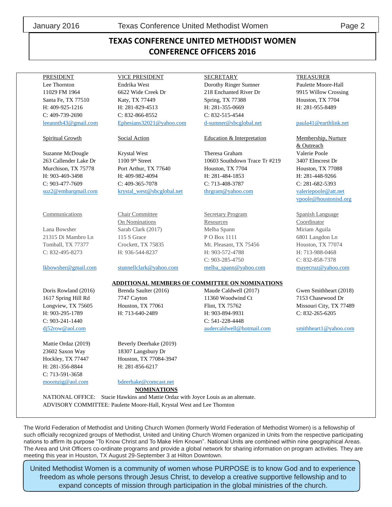C: 903-241-1440 C: 541-228-4448

23602 Saxon Way 18307 Langsbury Dr H: 281-356-8844 H: 281-856-6217 C: 713-591-3658 [moomzig@aol.com](mailto:moomzig@aol.com) [bdeerhake@comcast.net](mailto:bdeerhake@comcast.net)

PRESIDENT VICE PRESIDENT SECRETARY TREASURER Lee Thornton Endrika West Dorothy Ringer Sumner Paulette Moore-Hall 11029 FM 1964 6622 Wide Creek Dr 218 Enchanted River Dr 9915 Willow Crossing Santa Fe, TX 77510 Katy, TX 77449 Spring, TX 77388 Houston, TX 7704 H: 409-925-1216 H: 281-829-4513 H: 281-355-0669 H: 281-955-8489 C: 409-739-2690 C: 832-866-8552 C: 832-515-4544 [leeannth43@gmail.com](mailto:leeannth43@gmail.com) [Ephesians32021@yahoo.com](mailto:Ephesians32021@yahoo.com) [d-sumner@sbcglobal.net](mailto:d-sumner@sbcglobal.net) [paula41@earthlink.net](mailto:paula41@earthlink.net)

## Spiritual Growth Social Action **Education & Interpretation** Membership, Nurture

Suzanne McDougle Krystal West Theresa Graham Valerie Poole 263 Callender Lake Dr 1100 9<sup>th</sup> Street 10603 Southdown Trace Tr #219 3407 Elmcrest Dr Murchison, TX 75778 Port Arthur, TX 77640 Houston, TX 7704 Houston, TX 77088 H: 903-469-3498 H: 409-982-4094 H: 281-484-1853 H: 281-448-9266 C: 903-477-7609 C: 409-365-7078 C: 713-408-3787 C: 281-682-5393 [suz2@embarqmail.com](mailto:suz2@embarqmail.com) [krystal\\_west@sbcglobal.net](mailto:krystal_west@sbcglobal.net) [thrgram@yahoo.com](mailto:thrgram@yahoo.com) [valeriepoole@att.net](mailto:valeriepoole@att.net)

Communications Chair Committee Secretary Program Spanish Language On Nominations Resources Coordinator Lana Bowsher Sarah Clark (2017) Melba Spann Miriam Aguila 21315 Di Mambro Ln 115 S Grace P O Box 1111 6801 Langdon Ln Tomball, TX 77377 Crockett, TX 75835 Mt. Pleasant, TX 75456 Houston, TX 77074 C: 832-495-8273 H: 936-544-8237 H: 903-572-4788 H: 713-988-0468 C: 903-285-4750 C: 832-858-7378 [lkbowsher@gmail.com](mailto:lkbowsher@gmail.com) [stunnellclark@yahoo.com](mailto:stunnellclark@yahoo.com) [melba\\_spann@yahoo.com](mailto:melba_spann@yahoo.com) [mayecruz@yahoo.com](mailto:mayecruz@yahoo.com)

# **ADDITIONAL MEMBERS OF COMMITTEE ON NOMINATIONS**

1617 Spring Hill Rd 7747 Cayton 11360 Woodwind Ct 7153 Chasewood Dr Longview, TX 75605 Houston, TX 77061 Flint, TX 75762 Missouri City, TX 77489 H: 903-295-1789 H: 713-640-2489 H: 903-894-9931 C: 832-265-6205 [dj52row@aol.com](mailto:dj52row@aol.com) [audercaldwell@hotmail.com](mailto:audercaldwell@hotmail.com) [smithheart1@yahoo.com](mailto:smithheart1@yahoo.com)

 & Outreach [vpoole@houstonisd.org](mailto:vpoole@houstonisd.org)

Doris Rowland (2016) Brenda Saulter (2016) Maude Caldwell (2017) Gwen Smithheart (2018)

Mattie Ordaz (2019) Beverly Deerhake (2019) Hockley, TX 77447 Houston, TX 77084-3947

**NOMINATIONS** NATIONAL OFFICE: Stacie Hawkins and Mattie Ordaz with Joyce Louis as an alternate.

ADVISORY COMMITTEE: Paulette Moore-Hall, Krystal West and Lee Thornton

The World Federation of Methodist and Uniting Church Women (formerly World Federation of Methodist Women) is a fellowship of such officially recognized groups of Methodist, United and Uniting Church Women organized in Units from the respective participating nations to affirm its purpose "To Know Christ and To Make Him Known". National Units are combined within nine geographical Areas. The Area and Unit Officers co-ordinate programs and provide a global network for sharing information on program activities. They are meeting this year in Houston, TX August 29-September 3 at Hilton Downtown.

United Methodist Women is a community of women whose PURPOSE is to know God and to experience freedom as whole persons through Jesus Christ, to develop a creative supportive fellowship and to expand concepts of mission through participation in the global ministries of the church.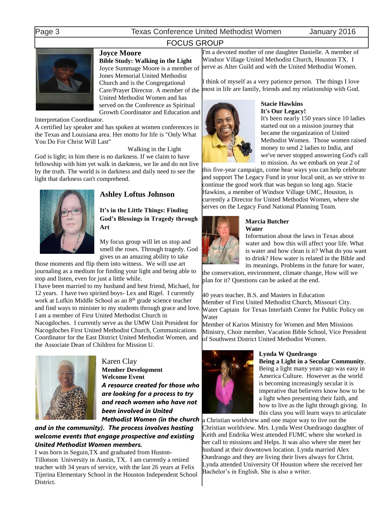age 3 Texas Conference United Methodist Women January 2016

# FOCUS GROUP



# **Joyce Moore**

**Bible Study: Walking in the Light** Joyce Summage Moore is a member of Jones Memorial United Methodist Church and is the Congregational Care/Prayer Director. A member of the United Methodist Women and has served on the Conference as Spiritual Growth Coordinator and Education and

Interpretation Coordinator.

A certified lay speaker and has spoken at women conferences in the Texas and Louisiana area. Her motto for life is "Only What You Do For Christ Will Last"

Walking in the Light

God is light; in him there is no darkness. If we claim to have fellowship with him yet walk in darkness, we lie and do not live by the truth. The world is in darkness and daily need to see the light that darkness can't comprehend.



# **Ashley Loftus Johnson**

**It's in the Little Things: Finding God's Blessings in Tragedy through Art**

My focus group will let us stop and smell the roses. Through tragedy. God gives us an amazing ability to take

those moments and flip them into witness. We will use art journaling as a medium for finding your light and being able to stop and listen, even for just a little while.

I have been married to my husband and best friend, Michael, for 12 years. I have two spirited boys- Lex and Rigel. I currently work at Lufkin Middle School as an 8<sup>th</sup> grade science teacher and find ways to minister to my students through grace and love. I am a member of First United Methodist Church in

Nacogdoches. I currently serve as the UMW Unit President for Nacogdoches First United Methodist Church, Communications Coordinator for the East District United Methodist Women, and the Associate Dean of Children for Mission U.



Karen Clay **Member Development Welcome Event** *A resource created for those who are looking for a process to try and reach women who have not been involved in United Methodist Women (in the church* 

*and in the community). The process involves hosting welcome events that engage prospective and existing United Methodist Women members.*

I was born in Seguin,TX and graduated from Huston-Tillotson University in Austin, TX. I am currently a retired teacher with 34 years of service, with the last 26 years at Felix Tijerina Elementary School in the Houston Independent School District.

I'm a devoted mother of one daughter Danielle. A member of Windsor Village United Methodist Church, Houston TX. I serve as Alter Guild and with the United Methodist Women.

I think of myself as a very patience person. The things I love most in life are family, friends and my relationship with God.



# **Stacie Hawkins It's Our Legacy!**

It's been nearly 150 years since 10 ladies started out on a mission journey that became the organization of United Methodist Women. Those women raised money to send 2 ladies to India, and we've never stopped answering God's call to mission. As we embark on year 2 of

this five-year campaign, come hear ways you can help celebrate and support The Legacy Fund in your local unit, as we strive to continue the good work that was begun so long ago. Stacie Hawkins, a member of Windsor Village UMC, Houston, is currently a Director for United Methodist Women, where she serves on the Legacy Fund National Planning Team.



### **Marcia Butcher Water**

Information about the laws in Texas about water and how this will affect your life. What is water and how clean is it? What do you want to drink? How water is related in the Bible and

its meanings. Problems in the future for water, the conservation, environment, climate change, How will we plan for it? Questions can be asked at the end.

40 years teacher, B.S. and Masters in Education Member of First United Methodist Church, Missouri City. Water Captain for Texas Interfaith Center for Public Policy on Water

Member of Karios Ministry for Women and Men Missions Ministry, Choir member, Vacation Bible School, Vice President of Southwest District United Methodist Women.



# **Lynda W Quedraogo**

**Being a Light in a Secular Community**. Being a light many years ago was easy in America Culture. However as the world is becoming increasingly secular it is imperative that believers know how to be a light when presenting their faith, and how to live as the light through giving. In this class you will learn ways to articulate

Christian worldview and one major way to live out the Christian worldview. Mrs. Lynda West Ouedraogo daughter of Keith and Endrika West attended FUMC where she worked in her call to missions and Helps. It was also where she meet her husband at their downtown location. Lynda married Alex Ouedraogo and they are living their lives always for Christ. Lynda attended University Of Houston where she received her Bachelor's in English. She is also a writer.